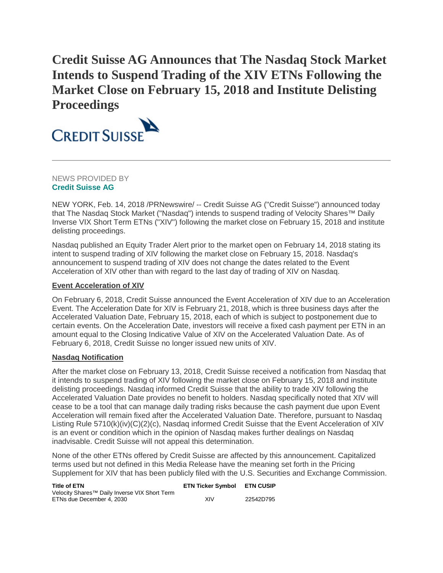# **Credit Suisse AG Announces that The Nasdaq Stock Market Intends to Suspend Trading of the XIV ETNs Following the Market Close on February 15, 2018 and Institute Delisting Proceedings**



NEWS PROVIDED BY **[Credit Suisse AG](https://www.prnewswire.com/news/credit-suisse-ag)**

NEW YORK, Feb. 14, 2018 /PRNewswire/ -- Credit Suisse AG ("Credit Suisse") announced today that The Nasdaq Stock Market ("Nasdaq") intends to suspend trading of Velocity Shares™ Daily Inverse VIX Short Term ETNs ("XIV") following the market close on February 15, 2018 and institute delisting proceedings.

Nasdaq published an Equity Trader Alert prior to the market open on February 14, 2018 stating its intent to suspend trading of XIV following the market close on February 15, 2018. Nasdaq's announcement to suspend trading of XIV does not change the dates related to the Event Acceleration of XIV other than with regard to the last day of trading of XIV on Nasdaq.

## **Event Acceleration of XIV**

On February 6, 2018, Credit Suisse announced the Event Acceleration of XIV due to an Acceleration Event. The Acceleration Date for XIV is February 21, 2018, which is three business days after the Accelerated Valuation Date, February 15, 2018, each of which is subject to postponement due to certain events. On the Acceleration Date, investors will receive a fixed cash payment per ETN in an amount equal to the Closing Indicative Value of XIV on the Accelerated Valuation Date. As of February 6, 2018, Credit Suisse no longer issued new units of XIV.

## **Nasdaq Notification**

After the market close on February 13, 2018, Credit Suisse received a notification from Nasdaq that it intends to suspend trading of XIV following the market close on February 15, 2018 and institute delisting proceedings. Nasdaq informed Credit Suisse that the ability to trade XIV following the Accelerated Valuation Date provides no benefit to holders. Nasdaq specifically noted that XIV will cease to be a tool that can manage daily trading risks because the cash payment due upon Event Acceleration will remain fixed after the Accelerated Valuation Date. Therefore, pursuant to Nasdaq Listing Rule 5710(k)(iv)(C)(2)(c), Nasdaq informed Credit Suisse that the Event Acceleration of XIV is an event or condition which in the opinion of Nasdaq makes further dealings on Nasdaq inadvisable. Credit Suisse will not appeal this determination.

None of the other ETNs offered by Credit Suisse are affected by this announcement. Capitalized terms used but not defined in this Media Release have the meaning set forth in the Pricing Supplement for XIV that has been publicly filed with the U.S. Securities and Exchange Commission.

| <b>Title of ETN</b>                                       | <b>ETN Ticker Symbol</b> | <b>ETN CUSIP</b> |
|-----------------------------------------------------------|--------------------------|------------------|
| Velocity Shares <sup>™</sup> Daily Inverse VIX Short Term |                          |                  |
| ETNs due December 4, 2030                                 | XIV                      | 22542D795        |